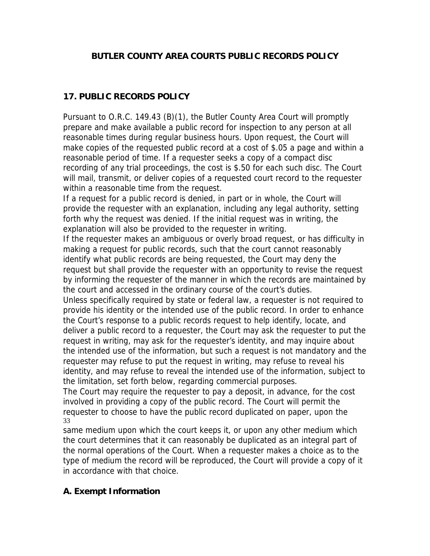### **BUTLER COUNTY AREA COURTS PUBLIC RECORDS POLICY**

# **17. PUBLIC RECORDS POLICY**

Pursuant to O.R.C. 149.43 (B)(1), the Butler County Area Court will promptly prepare and make available a public record for inspection to any person at all reasonable times during regular business hours. Upon request, the Court will make copies of the requested public record at a cost of \$.05 a page and within a reasonable period of time. If a requester seeks a copy of a compact disc recording of any trial proceedings, the cost is \$.50 for each such disc. The Court will mail, transmit, or deliver copies of a requested court record to the requester within a reasonable time from the request.

If a request for a public record is denied, in part or in whole, the Court will provide the requester with an explanation, including any legal authority, setting forth why the request was denied. If the initial request was in writing, the explanation will also be provided to the requester in writing.

If the requester makes an ambiguous or overly broad request, or has difficulty in making a request for public records, such that the court cannot reasonably identify what public records are being requested, the Court may deny the request but shall provide the requester with an opportunity to revise the request by informing the requester of the manner in which the records are maintained by the court and accessed in the ordinary course of the court's duties.

Unless specifically required by state or federal law, a requester is not required to provide his identity or the intended use of the public record. In order to enhance the Court's response to a public records request to help identify, locate, and deliver a public record to a requester, the Court may ask the requester to put the request in writing, may ask for the requester's identity, and may inquire about the intended use of the information, but such a request is not mandatory and the requester may refuse to put the request in writing, may refuse to reveal his identity, and may refuse to reveal the intended use of the information, subject to the limitation, set forth below, regarding commercial purposes.

The Court may require the requester to pay a deposit, in advance, for the cost involved in providing a copy of the public record. The Court will permit the requester to choose to have the public record duplicated on paper, upon the 33

same medium upon which the court keeps it, or upon any other medium which the court determines that it can reasonably be duplicated as an integral part of the normal operations of the Court. When a requester makes a choice as to the type of medium the record will be reproduced, the Court will provide a copy of it in accordance with that choice.

## **A. Exempt Information**